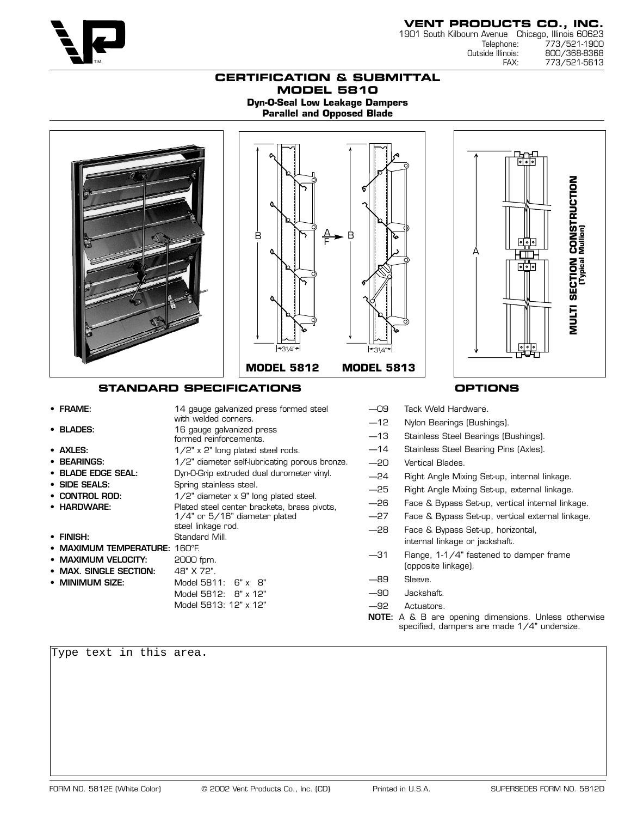

# **VENT PRODUCTS CO., INC.**

1901 South Kilbourn Avenue Chicago, Illinois 60623 Telephone: 773/521-1900<br>Outside Illinois: 800/368-8368 inois: 800/368-8368<br>FAX: 773/521-5613 773/521-5613

### **CERTIFICATION & SUBMITTAL MODEL 5810 Dyn-O-Seal Low Leakage Dampers Parallel and Opposed Blade**



- 
- **BEARINGS:** 1/2" diameter self-lubricating porous bronze.
- **BLADE EDGE SEAL:** Dyn-O-Grip extruded dual durometer vinyl.
- **SIDE SEALS:** Spring stainless steel.
- **CONTROL ROD:** 1/2" diameter x 9" long plated steel.
- **HARDWARE:** Plated steel center brackets, brass pivots,
- **FINISH:** Standard Mill.
- **MAXIMUM TEMPERATURE:** 160°F.
- **MAXIMUM VELOCITY:** 2000 fpm.
- MAX. SINGLE SECTION: 48" X 72".
- 
- **MINIMUM SIZE:** Model 5811: 6" x 8" Model 5812: 8" x 12" Model 5813: 12" x 12"

steel linkage rod.

1/4" or 5/16" diameter plated

- —14 Stainless Steel Bearing Pins (Axles).
- —20 Vertical Blades.
- —24 Right Angle Mixing Set-up, internal linkage.
- —25 Right Angle Mixing Set-up, external linkage.
- —26 Face & Bypass Set-up, vertical internal linkage.
- —27 Face & Bypass Set-up, vertical external linkage.
- —28 Face & Bypass Set-up, horizontal, internal linkage or jackshaft.
- —31 Flange, 1-1/4" fastened to damper frame (opposite linkage).
- —89 Sleeve.
- —90 Jackshaft.
- —92 Actuators.
- **NOTE:** A & B are opening dimensions. Unless otherwise specified, dampers are made 1/4" undersize.

Type text in this area.